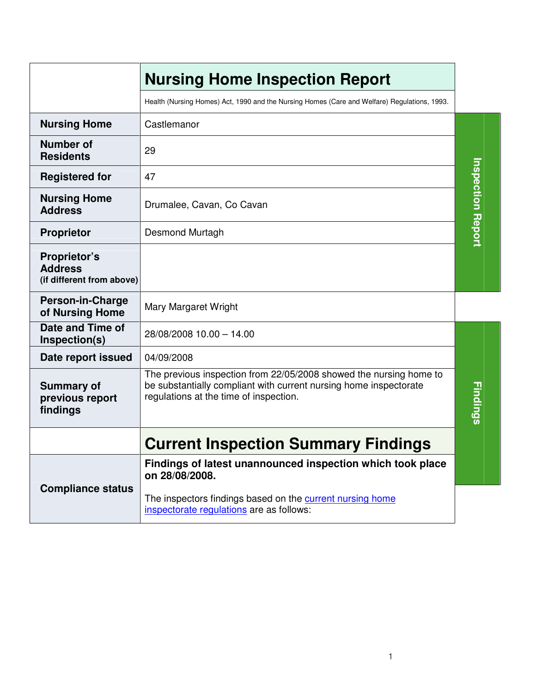|                                                             | <b>Nursing Home Inspection Report</b>                                                                                                                                             |                          |
|-------------------------------------------------------------|-----------------------------------------------------------------------------------------------------------------------------------------------------------------------------------|--------------------------|
|                                                             | Health (Nursing Homes) Act, 1990 and the Nursing Homes (Care and Welfare) Regulations, 1993.                                                                                      |                          |
| <b>Nursing Home</b>                                         | Castlemanor                                                                                                                                                                       |                          |
| <b>Number of</b><br><b>Residents</b>                        | 29                                                                                                                                                                                |                          |
| <b>Registered for</b>                                       | 47                                                                                                                                                                                |                          |
| <b>Nursing Home</b><br><b>Address</b>                       | Drumalee, Cavan, Co Cavan                                                                                                                                                         | <b>Inspection Report</b> |
| <b>Proprietor</b>                                           | Desmond Murtagh                                                                                                                                                                   |                          |
| Proprietor's<br><b>Address</b><br>(if different from above) |                                                                                                                                                                                   |                          |
| <b>Person-in-Charge</b><br>of Nursing Home                  | Mary Margaret Wright                                                                                                                                                              |                          |
| Date and Time of<br>Inspection(s)                           | 28/08/2008 10.00 - 14.00                                                                                                                                                          |                          |
| Date report issued                                          | 04/09/2008                                                                                                                                                                        |                          |
| <b>Summary of</b><br>previous report<br>findings            | The previous inspection from 22/05/2008 showed the nursing home to<br>be substantially compliant with current nursing home inspectorate<br>regulations at the time of inspection. | <b>Findings</b>          |
|                                                             | <b>Current Inspection Summary Findings</b>                                                                                                                                        |                          |
|                                                             | Findings of latest unannounced inspection which took place<br>on 28/08/2008.                                                                                                      |                          |
| <b>Compliance status</b>                                    | The inspectors findings based on the current nursing home<br>inspectorate regulations are as follows:                                                                             |                          |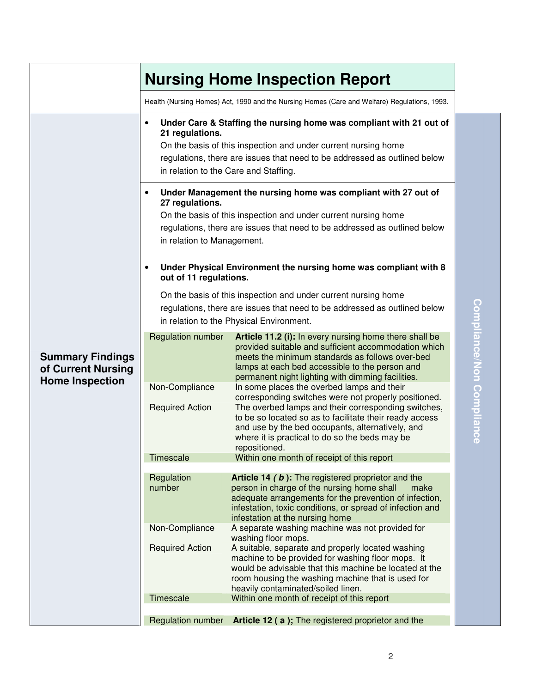|                                                                         | <b>Nursing Home Inspection Report</b>                                                                                                                                                                                                                                                                                                                        |                                                                                                                                                                                                                                                                                               |  |  |
|-------------------------------------------------------------------------|--------------------------------------------------------------------------------------------------------------------------------------------------------------------------------------------------------------------------------------------------------------------------------------------------------------------------------------------------------------|-----------------------------------------------------------------------------------------------------------------------------------------------------------------------------------------------------------------------------------------------------------------------------------------------|--|--|
|                                                                         |                                                                                                                                                                                                                                                                                                                                                              | Health (Nursing Homes) Act, 1990 and the Nursing Homes (Care and Welfare) Regulations, 1993.                                                                                                                                                                                                  |  |  |
|                                                                         | $\bullet$<br>21 regulations.                                                                                                                                                                                                                                                                                                                                 | Under Care & Staffing the nursing home was compliant with 21 out of<br>On the basis of this inspection and under current nursing home<br>regulations, there are issues that need to be addressed as outlined below<br>in relation to the Care and Staffing.                                   |  |  |
|                                                                         | Under Management the nursing home was compliant with 27 out of<br>$\bullet$<br>27 regulations.<br>On the basis of this inspection and under current nursing home<br>regulations, there are issues that need to be addressed as outlined below<br>in relation to Management.<br>Under Physical Environment the nursing home was compliant with 8<br>$\bullet$ |                                                                                                                                                                                                                                                                                               |  |  |
|                                                                         | out of 11 regulations.<br>On the basis of this inspection and under current nursing home<br>regulations, there are issues that need to be addressed as outlined below<br>in relation to the Physical Environment.                                                                                                                                            |                                                                                                                                                                                                                                                                                               |  |  |
| <b>Summary Findings</b><br>of Current Nursing<br><b>Home Inspection</b> | <b>Regulation number</b>                                                                                                                                                                                                                                                                                                                                     | Article 11.2 (i): In every nursing home there shall be<br>provided suitable and sufficient accommodation which<br>meets the minimum standards as follows over-bed<br>lamps at each bed accessible to the person and<br>permanent night lighting with dimming facilities.                      |  |  |
|                                                                         | Non-Compliance                                                                                                                                                                                                                                                                                                                                               | In some places the overbed lamps and their                                                                                                                                                                                                                                                    |  |  |
|                                                                         | <b>Required Action</b>                                                                                                                                                                                                                                                                                                                                       | corresponding switches were not properly positioned.<br>The overbed lamps and their corresponding switches,<br>to be so located so as to facilitate their ready access<br>and use by the bed occupants, alternatively, and<br>where it is practical to do so the beds may be<br>repositioned. |  |  |
|                                                                         | Timescale                                                                                                                                                                                                                                                                                                                                                    | Within one month of receipt of this report                                                                                                                                                                                                                                                    |  |  |
|                                                                         | Regulation<br>number                                                                                                                                                                                                                                                                                                                                         | <b>Article 14 (b):</b> The registered proprietor and the<br>person in charge of the nursing home shall<br>make<br>adequate arrangements for the prevention of infection,<br>infestation, toxic conditions, or spread of infection and<br>infestation at the nursing home                      |  |  |
|                                                                         | Non-Compliance                                                                                                                                                                                                                                                                                                                                               | A separate washing machine was not provided for                                                                                                                                                                                                                                               |  |  |
|                                                                         | <b>Required Action</b>                                                                                                                                                                                                                                                                                                                                       | washing floor mops.<br>A suitable, separate and properly located washing<br>machine to be provided for washing floor mops. It<br>would be advisable that this machine be located at the<br>room housing the washing machine that is used for<br>heavily contaminated/soiled linen.            |  |  |
|                                                                         | Timescale                                                                                                                                                                                                                                                                                                                                                    | Within one month of receipt of this report                                                                                                                                                                                                                                                    |  |  |
|                                                                         | Regulation number                                                                                                                                                                                                                                                                                                                                            | Article 12 (a); The registered proprietor and the                                                                                                                                                                                                                                             |  |  |